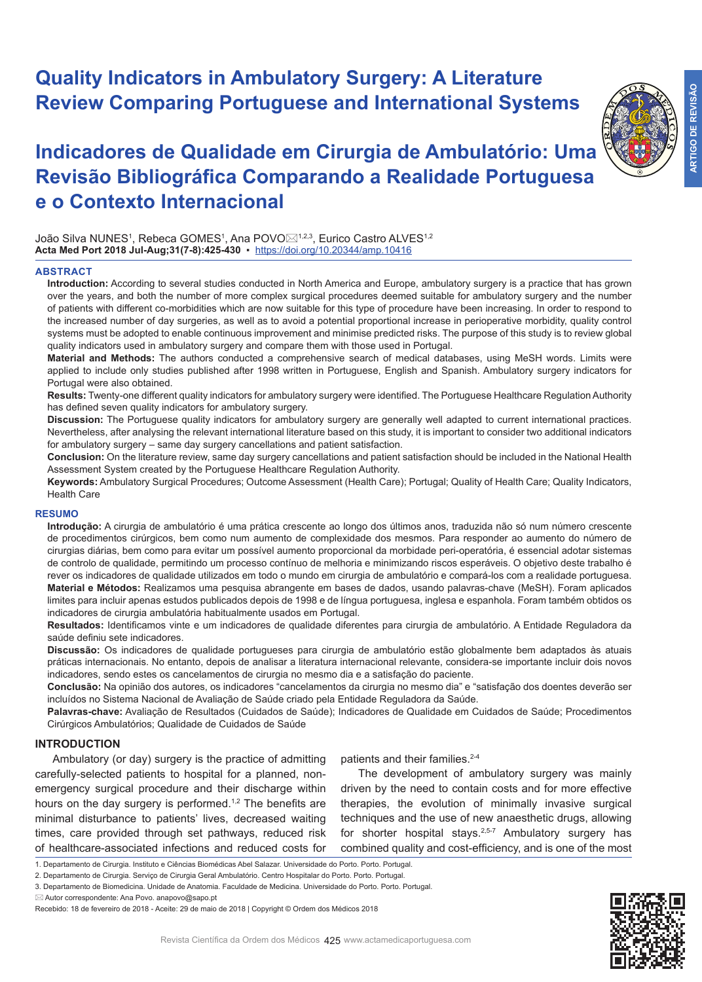# **Quality Indicators in Ambulatory Surgery: A Literature Review Comparing Portuguese and International Systems**

**ARTIGO DE REVISÃO**

**ARTIGO DE REVISÃO** 

# **Indicadores de Qualidade em Cirurgia de Ambulatório: Uma Revisão Bibliográfica Comparando a Realidade Portuguesa e o Contexto Internacional**

João Silva NUNESª, Rebeca GOMESª, Ana POVO⊠ª,2,3, Eurico Castro ALVESª,2 **Acta Med Port 2018 Jul-Aug;31(7-8):425-430** ▪https://doi.org/10.20344/amp.10416

### **ABSTRACT**

**Introduction:** According to several studies conducted in North America and Europe, ambulatory surgery is a practice that has grown over the years, and both the number of more complex surgical procedures deemed suitable for ambulatory surgery and the number of patients with different co-morbidities which are now suitable for this type of procedure have been increasing. In order to respond to the increased number of day surgeries, as well as to avoid a potential proportional increase in perioperative morbidity, quality control systems must be adopted to enable continuous improvement and minimise predicted risks. The purpose of this study is to review global quality indicators used in ambulatory surgery and compare them with those used in Portugal.

**Material and Methods:** The authors conducted a comprehensive search of medical databases, using MeSH words. Limits were applied to include only studies published after 1998 written in Portuguese, English and Spanish. Ambulatory surgery indicators for Portugal were also obtained.

**Results:** Twenty-one different quality indicators for ambulatory surgery were identified. The Portuguese Healthcare Regulation Authority has defined seven quality indicators for ambulatory surgery.

**Discussion:** The Portuguese quality indicators for ambulatory surgery are generally well adapted to current international practices. Nevertheless, after analysing the relevant international literature based on this study, it is important to consider two additional indicators for ambulatory surgery – same day surgery cancellations and patient satisfaction.

**Conclusion:** On the literature review, same day surgery cancellations and patient satisfaction should be included in the National Health Assessment System created by the Portuguese Healthcare Regulation Authority.

**Keywords:** Ambulatory Surgical Procedures; Outcome Assessment (Health Care); Portugal; Quality of Health Care; Quality Indicators, Health Care

### **RESUMO**

**Introdução:** A cirurgia de ambulatório é uma prática crescente ao longo dos últimos anos, traduzida não só num número crescente de procedimentos cirúrgicos, bem como num aumento de complexidade dos mesmos. Para responder ao aumento do número de cirurgias diárias, bem como para evitar um possível aumento proporcional da morbidade peri-operatória, é essencial adotar sistemas de controlo de qualidade, permitindo um processo contínuo de melhoria e minimizando riscos esperáveis. O objetivo deste trabalho é rever os indicadores de qualidade utilizados em todo o mundo em cirurgia de ambulatório e compará-los com a realidade portuguesa. **Material e Métodos:** Realizamos uma pesquisa abrangente em bases de dados, usando palavras-chave (MeSH). Foram aplicados limites para incluir apenas estudos publicados depois de 1998 e de língua portuguesa, inglesa e espanhola. Foram também obtidos os indicadores de cirurgia ambulatória habitualmente usados em Portugal.

**Resultados:** Identificamos vinte e um indicadores de qualidade diferentes para cirurgia de ambulatório. A Entidade Reguladora da saúde definiu sete indicadores.

**Discussão:** Os indicadores de qualidade portugueses para cirurgia de ambulatório estão globalmente bem adaptados às atuais práticas internacionais. No entanto, depois de analisar a literatura internacional relevante, considera-se importante incluir dois novos indicadores, sendo estes os cancelamentos de cirurgia no mesmo dia e a satisfação do paciente.

**Conclusão:** Na opinião dos autores, os indicadores "cancelamentos da cirurgia no mesmo dia" e "satisfação dos doentes deverão ser incluídos no Sistema Nacional de Avaliação de Saúde criado pela Entidade Reguladora da Saúde.

**Palavras-chave:** Avaliação de Resultados (Cuidados de Saúde); Indicadores de Qualidade em Cuidados de Saúde; Procedimentos Cirúrgicos Ambulatórios; Qualidade de Cuidados de Saúde

## **INTRODUCTION**

Ambulatory (or day) surgery is the practice of admitting carefully-selected patients to hospital for a planned, nonemergency surgical procedure and their discharge within hours on the day surgery is performed.<sup>1,2</sup> The benefits are minimal disturbance to patients' lives, decreased waiting times, care provided through set pathways, reduced risk of healthcare-associated infections and reduced costs for

patients and their families.<sup>2-4</sup>

The development of ambulatory surgery was mainly driven by the need to contain costs and for more effective therapies, the evolution of minimally invasive surgical techniques and the use of new anaesthetic drugs, allowing for shorter hospital stays.<sup>2,5-7</sup> Ambulatory surgery has combined quality and cost-efficiency, and is one of the most

3. Departamento de Biomedicina. Unidade de Anatomia. Faculdade de Medicina. Universidade do Porto. Porto. Portugal.



<sup>1.</sup> Departamento de Cirurgia. Instituto e Ciências Biomédicas Abel Salazar. Universidade do Porto. Porto. Portugal.

<sup>2.</sup> Departamento de Cirurgia. Serviço de Cirurgia Geral Ambulatório. Centro Hospitalar do Porto. Porto. Portugal.

Autor correspondente: Ana Povo. anapovo@sapo.pt

Recebido: 18 de fevereiro de 2018 - Aceite: 29 de maio de 2018 | Copyright © Ordem dos Médicos 2018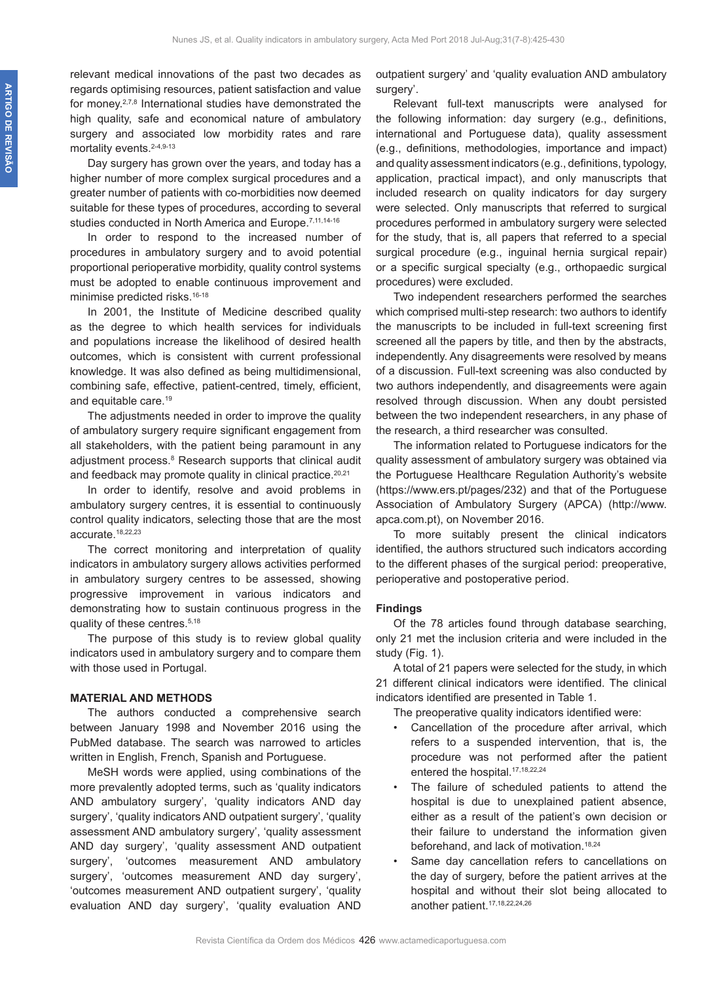relevant medical innovations of the past two decades as regards optimising resources, patient satisfaction and value for money.2,7,8 International studies have demonstrated the high quality, safe and economical nature of ambulatory surgery and associated low morbidity rates and rare mortality events.<sup>2-4,9-13</sup>

Day surgery has grown over the years, and today has a higher number of more complex surgical procedures and a greater number of patients with co-morbidities now deemed suitable for these types of procedures, according to several studies conducted in North America and Europe.<sup>7,11,14-16</sup>

In order to respond to the increased number of procedures in ambulatory surgery and to avoid potential proportional perioperative morbidity, quality control systems must be adopted to enable continuous improvement and minimise predicted risks.<sup>16-18</sup>

In 2001, the Institute of Medicine described quality as the degree to which health services for individuals and populations increase the likelihood of desired health outcomes, which is consistent with current professional knowledge. It was also defined as being multidimensional, combining safe, effective, patient-centred, timely, efficient, and equitable care.19

The adjustments needed in order to improve the quality of ambulatory surgery require significant engagement from all stakeholders, with the patient being paramount in any adjustment process.<sup>8</sup> Research supports that clinical audit and feedback may promote quality in clinical practice.<sup>20,21</sup>

In order to identify, resolve and avoid problems in ambulatory surgery centres, it is essential to continuously control quality indicators, selecting those that are the most accurate.18,22,23

The correct monitoring and interpretation of quality indicators in ambulatory surgery allows activities performed in ambulatory surgery centres to be assessed, showing progressive improvement in various indicators and demonstrating how to sustain continuous progress in the quality of these centres.<sup>5,18</sup>

The purpose of this study is to review global quality indicators used in ambulatory surgery and to compare them with those used in Portugal.

#### **MATERIAL AND METHODS**

The authors conducted a comprehensive search between January 1998 and November 2016 using the PubMed database. The search was narrowed to articles written in English, French, Spanish and Portuguese.

MeSH words were applied, using combinations of the more prevalently adopted terms, such as 'quality indicators AND ambulatory surgery', 'quality indicators AND day surgery', 'quality indicators AND outpatient surgery', 'quality assessment AND ambulatory surgery', 'quality assessment AND day surgery', 'quality assessment AND outpatient surgery', 'outcomes measurement AND ambulatory surgery', 'outcomes measurement AND day surgery', 'outcomes measurement AND outpatient surgery', 'quality evaluation AND day surgery', 'quality evaluation AND

outpatient surgery' and 'quality evaluation AND ambulatory surgery'.

Relevant full-text manuscripts were analysed for the following information: day surgery (e.g., definitions, international and Portuguese data), quality assessment (e.g., definitions, methodologies, importance and impact) and quality assessment indicators (e.g., definitions, typology, application, practical impact), and only manuscripts that included research on quality indicators for day surgery were selected. Only manuscripts that referred to surgical procedures performed in ambulatory surgery were selected for the study, that is, all papers that referred to a special surgical procedure (e.g., inguinal hernia surgical repair) or a specific surgical specialty (e.g., orthopaedic surgical procedures) were excluded.

Two independent researchers performed the searches which comprised multi-step research: two authors to identify the manuscripts to be included in full-text screening first screened all the papers by title, and then by the abstracts, independently. Any disagreements were resolved by means of a discussion. Full-text screening was also conducted by two authors independently, and disagreements were again resolved through discussion. When any doubt persisted between the two independent researchers, in any phase of the research, a third researcher was consulted.

The information related to Portuguese indicators for the quality assessment of ambulatory surgery was obtained via the Portuguese Healthcare Regulation Authority's website (https://www.ers.pt/pages/232) and that of the Portuguese Association of Ambulatory Surgery (APCA) (http://www. apca.com.pt), on November 2016.

To more suitably present the clinical indicators identified, the authors structured such indicators according to the different phases of the surgical period: preoperative, perioperative and postoperative period.

### **Findings**

Of the 78 articles found through database searching, only 21 met the inclusion criteria and were included in the study (Fig. 1).

A total of 21 papers were selected for the study, in which 21 different clinical indicators were identified. The clinical indicators identified are presented in Table 1.

The preoperative quality indicators identified were:

- Cancellation of the procedure after arrival, which refers to a suspended intervention, that is, the procedure was not performed after the patient entered the hospital.<sup>17,18,22,24</sup>
- The failure of scheduled patients to attend the hospital is due to unexplained patient absence, either as a result of the patient's own decision or their failure to understand the information given beforehand, and lack of motivation.18,24
- Same day cancellation refers to cancellations on the day of surgery, before the patient arrives at the hospital and without their slot being allocated to another patient.<sup>17,18,22,24,26</sup>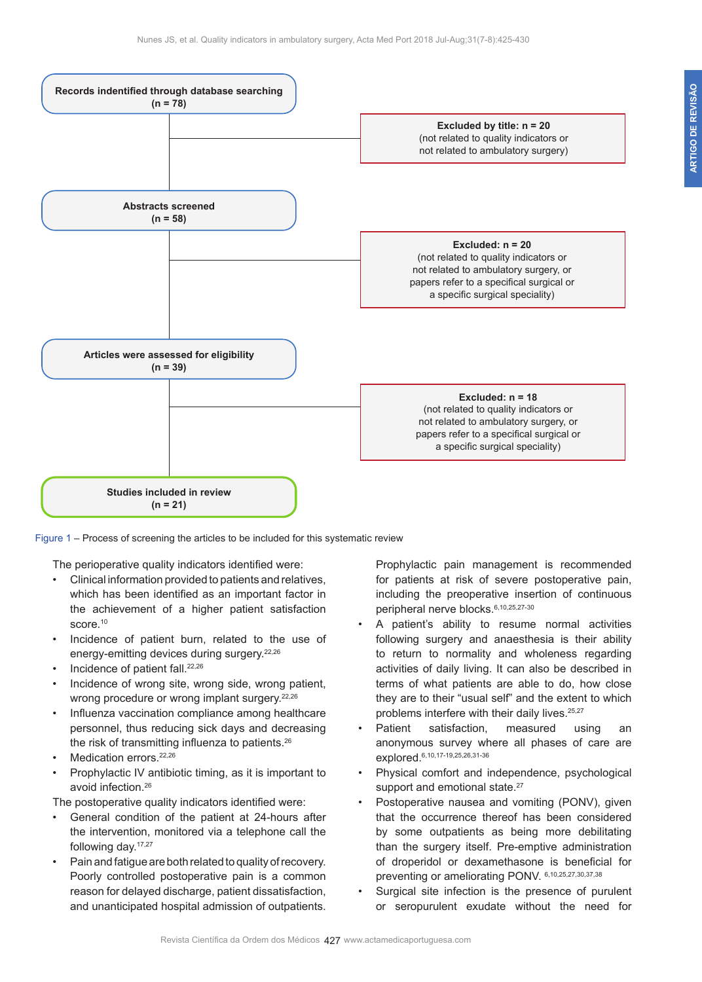

Figure 1 – Process of screening the articles to be included for this systematic review

The perioperative quality indicators identified were:

- Clinical information provided to patients and relatives, which has been identified as an important factor in the achievement of a higher patient satisfaction score.<sup>10</sup>
- Incidence of patient burn, related to the use of energy-emitting devices during surgery.<sup>22,26</sup>
- Incidence of patient fall.<sup>22,26</sup>
- Incidence of wrong site, wrong side, wrong patient, wrong procedure or wrong implant surgery.<sup>22,26</sup>
- Influenza vaccination compliance among healthcare personnel, thus reducing sick days and decreasing the risk of transmitting influenza to patients.<sup>26</sup>
- Medication errors.<sup>22,26</sup>
- Prophylactic IV antibiotic timing, as it is important to avoid infection.26

The postoperative quality indicators identified were:

- General condition of the patient at 24-hours after the intervention, monitored via a telephone call the following day.17,27
- Pain and fatigue are both related to quality of recovery. Poorly controlled postoperative pain is a common reason for delayed discharge, patient dissatisfaction, and unanticipated hospital admission of outpatients.

Prophylactic pain management is recommended for patients at risk of severe postoperative pain, including the preoperative insertion of continuous peripheral nerve blocks.6,10,25,27-30

- A patient's ability to resume normal activities following surgery and anaesthesia is their ability to return to normality and wholeness regarding activities of daily living. It can also be described in terms of what patients are able to do, how close they are to their "usual self" and the extent to which problems interfere with their daily lives.<sup>25,27</sup>
- Patient satisfaction, measured using an anonymous survey where all phases of care are explored.6,10,17-19,25,26,31-36
- Physical comfort and independence, psychological support and emotional state.<sup>27</sup>
- Postoperative nausea and vomiting (PONV), given that the occurrence thereof has been considered by some outpatients as being more debilitating than the surgery itself. Pre-emptive administration of droperidol or dexamethasone is beneficial for preventing or ameliorating PONV. 6,10,25,27,30,37,38
- Surgical site infection is the presence of purulent or seropurulent exudate without the need for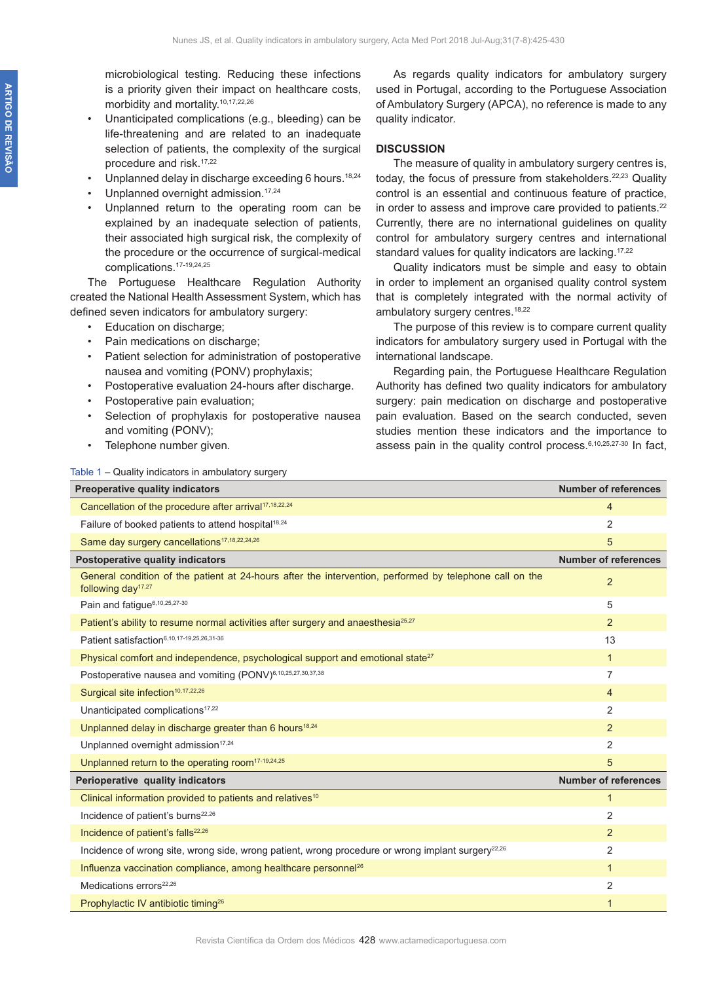microbiological testing. Reducing these infections is a priority given their impact on healthcare costs, morbidity and mortality.10,17,22,26

- Unanticipated complications (e.g., bleeding) can be life-threatening and are related to an inadequate selection of patients, the complexity of the surgical procedure and risk.17,22
- Unplanned delay in discharge exceeding 6 hours.<sup>18,24</sup>
- Unplanned overnight admission.<sup>17,24</sup>
- Unplanned return to the operating room can be explained by an inadequate selection of patients, their associated high surgical risk, the complexity of the procedure or the occurrence of surgical-medical complications.17-19,24,25

The Portuguese Healthcare Regulation Authority created the National Health Assessment System, which has defined seven indicators for ambulatory surgery:

- Education on discharge;
- Pain medications on discharge;
- Patient selection for administration of postoperative nausea and vomiting (PONV) prophylaxis;
- Postoperative evaluation 24-hours after discharge.
- Postoperative pain evaluation;

Table 1 – Quality indicators in ambulatory surgery

- Selection of prophylaxis for postoperative nausea and vomiting (PONV);
- Telephone number given.

As regards quality indicators for ambulatory surgery used in Portugal, according to the Portuguese Association of Ambulatory Surgery (APCA), no reference is made to any quality indicator.

### **DISCUSSION**

The measure of quality in ambulatory surgery centres is, today, the focus of pressure from stakeholders.<sup>22,23</sup> Quality control is an essential and continuous feature of practice, in order to assess and improve care provided to patients.<sup>22</sup> Currently, there are no international guidelines on quality control for ambulatory surgery centres and international standard values for quality indicators are lacking.<sup>17,22</sup>

Quality indicators must be simple and easy to obtain in order to implement an organised quality control system that is completely integrated with the normal activity of ambulatory surgery centres.<sup>18,22</sup>

The purpose of this review is to compare current quality indicators for ambulatory surgery used in Portugal with the international landscape.

Regarding pain, the Portuguese Healthcare Regulation Authority has defined two quality indicators for ambulatory surgery: pain medication on discharge and postoperative pain evaluation. Based on the search conducted, seven studies mention these indicators and the importance to assess pain in the quality control process.<sup>6,10,25,27-30</sup> In fact,

| <b>Preoperative quality indicators</b>                                                                                                    | <b>Number of references</b> |
|-------------------------------------------------------------------------------------------------------------------------------------------|-----------------------------|
| Cancellation of the procedure after arrival <sup>17,18,22,24</sup>                                                                        | 4                           |
| Failure of booked patients to attend hospital <sup>18,24</sup>                                                                            | $\overline{2}$              |
| Same day surgery cancellations <sup>17,18,22,24,26</sup>                                                                                  | 5                           |
| Postoperative quality indicators                                                                                                          | <b>Number of references</b> |
| General condition of the patient at 24-hours after the intervention, performed by telephone call on the<br>following day <sup>17,27</sup> | $\overline{2}$              |
| Pain and fatique <sup>6,10,25,27-30</sup>                                                                                                 | 5                           |
| Patient's ability to resume normal activities after surgery and anaesthesia <sup>25,27</sup>                                              | $\overline{2}$              |
| Patient satisfaction6,10,17-19,25,26,31-36                                                                                                | 13                          |
| Physical comfort and independence, psychological support and emotional state <sup>27</sup>                                                | $\mathbf{1}$                |
| Postoperative nausea and vomiting (PONV) <sup>6,10,25,27,30,37,38</sup>                                                                   | 7                           |
| Surgical site infection <sup>10,17,22,26</sup>                                                                                            | 4                           |
| Unanticipated complications <sup>17,22</sup>                                                                                              | $\overline{2}$              |
| Unplanned delay in discharge greater than 6 hours <sup>18,24</sup>                                                                        | $\overline{2}$              |
| Unplanned overnight admission <sup>17,24</sup>                                                                                            | $\overline{2}$              |
| Unplanned return to the operating room <sup>17-19,24,25</sup>                                                                             | 5                           |
| Perioperative quality indicators                                                                                                          | <b>Number of references</b> |
| Clinical information provided to patients and relatives <sup>10</sup>                                                                     | $\mathbf{1}$                |
| Incidence of patient's burns <sup>22,26</sup>                                                                                             | $\overline{2}$              |
| Incidence of patient's falls <sup>22,26</sup>                                                                                             | $\overline{2}$              |
| Incidence of wrong site, wrong side, wrong patient, wrong procedure or wrong implant surgery <sup>22,26</sup>                             | $\overline{2}$              |
| Influenza vaccination compliance, among healthcare personnel <sup>26</sup>                                                                | $\mathbf{1}$                |
| Medications errors <sup>22,26</sup>                                                                                                       | $\overline{2}$              |
| Prophylactic IV antibiotic timing <sup>26</sup>                                                                                           | $\mathbf{1}$                |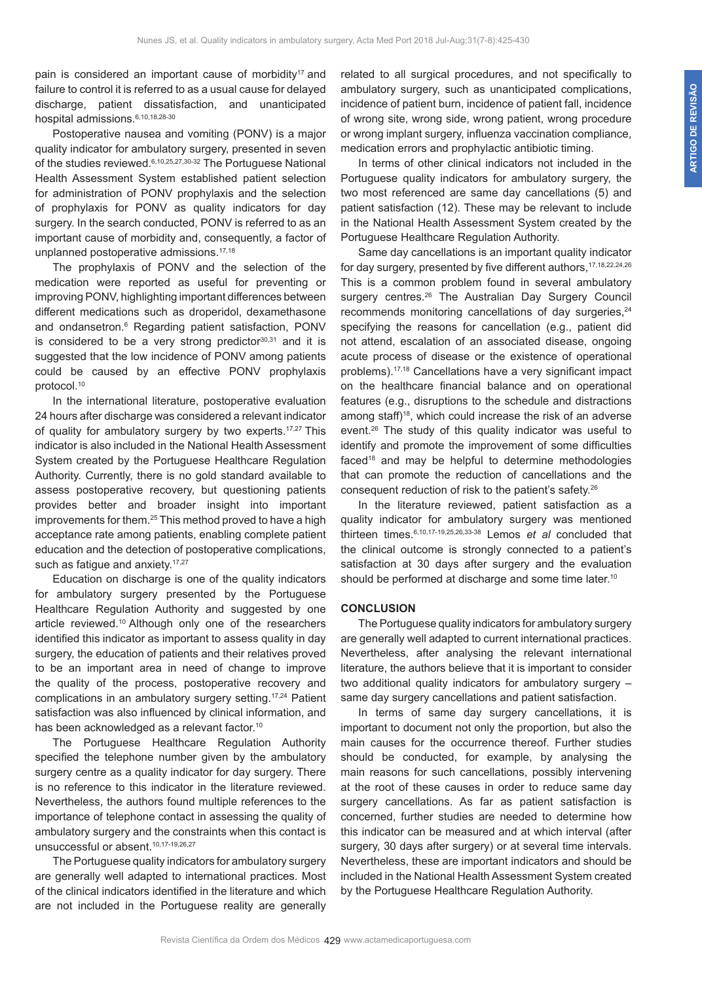pain is considered an important cause of morbidity<sup>17</sup> and failure to control it is referred to as a usual cause for delayed discharge, patient dissatisfaction, and unanticipated hospital admissions. 6,10,18,28-30

Postoperative nausea and vomiting (PONV) is a major quality indicator for ambulatory surgery, presented in seven of the studies reviewed.6,10,25,27,30-32 The Portuguese National Health Assessment System established patient selection for administration of PONV prophylaxis and the selection of prophylaxis for PONV as quality indicators for day surgery. In the search conducted, PONV is referred to as an important cause of morbidity and, consequently, a factor of unplanned postoperative admissions.17,18

The prophylaxis of PONV and the selection of the medication were reported as useful for preventing or improving PONV, highlighting important differences between different medications such as droperidol, dexamethasone and ondansetron.6 Regarding patient satisfaction, PONV is considered to be a very strong predictor<sup>30,31</sup> and it is suggested that the low incidence of PONV among patients could be caused by an effective PONV prophylaxis protocol.10

In the international literature, postoperative evaluation 24 hours after discharge was considered a relevant indicator of quality for ambulatory surgery by two experts.<sup>17,27</sup> This indicator is also included in the National Health Assessment System created by the Portuguese Healthcare Regulation Authority. Currently, there is no gold standard available to assess postoperative recovery, but questioning patients provides better and broader insight into important improvements for them.<sup>25</sup> This method proved to have a high acceptance rate among patients, enabling complete patient education and the detection of postoperative complications, such as fatigue and anxiety.<sup>17,27</sup>

Education on discharge is one of the quality indicators for ambulatory surgery presented by the Portuguese Healthcare Regulation Authority and suggested by one article reviewed.<sup>10</sup> Although only one of the researchers identified this indicator as important to assess quality in day surgery, the education of patients and their relatives proved to be an important area in need of change to improve the quality of the process, postoperative recovery and complications in an ambulatory surgery setting.<sup>17,24</sup> Patient satisfaction was also influenced by clinical information, and has been acknowledged as a relevant factor.<sup>10</sup>

The Portuguese Healthcare Regulation Authority specified the telephone number given by the ambulatory surgery centre as a quality indicator for day surgery. There is no reference to this indicator in the literature reviewed. Nevertheless, the authors found multiple references to the importance of telephone contact in assessing the quality of ambulatory surgery and the constraints when this contact is unsuccessful or absent.10,17-19,26,27

The Portuguese quality indicators for ambulatory surgery are generally well adapted to international practices. Most of the clinical indicators identified in the literature and which are not included in the Portuguese reality are generally

related to all surgical procedures, and not specifically to ambulatory surgery, such as unanticipated complications, incidence of patient burn, incidence of patient fall, incidence of wrong site, wrong side, wrong patient, wrong procedure or wrong implant surgery, influenza vaccination compliance, medication errors and prophylactic antibiotic timing.

In terms of other clinical indicators not included in the Portuguese quality indicators for ambulatory surgery, the two most referenced are same day cancellations (5) and patient satisfaction (12). These may be relevant to include in the National Health Assessment System created by the Portuguese Healthcare Regulation Authority.

Same day cancellations is an important quality indicator for day surgery, presented by five different authors.<sup>17,18,22,24,26</sup> This is a common problem found in several ambulatory surgery centres.<sup>26</sup> The Australian Day Surgery Council recommends monitoring cancellations of day surgeries,<sup>24</sup> specifying the reasons for cancellation (e.g., patient did not attend, escalation of an associated disease, ongoing acute process of disease or the existence of operational problems).17,18 Cancellations have a very significant impact on the healthcare financial balance and on operational features (e.g., disruptions to the schedule and distractions among staff)<sup>18</sup>, which could increase the risk of an adverse event.26 The study of this quality indicator was useful to identify and promote the improvement of some difficulties faced18 and may be helpful to determine methodologies that can promote the reduction of cancellations and the consequent reduction of risk to the patient's safety.26

In the literature reviewed, patient satisfaction as a quality indicator for ambulatory surgery was mentioned thirteen times.6,10,17-19,25,26,33-38 Lemos *et al* concluded that the clinical outcome is strongly connected to a patient's satisfaction at 30 days after surgery and the evaluation should be performed at discharge and some time later.<sup>10</sup>

### **CONCLUSION**

The Portuguese quality indicators for ambulatory surgery are generally well adapted to current international practices. Nevertheless, after analysing the relevant international literature, the authors believe that it is important to consider two additional quality indicators for ambulatory surgery – same day surgery cancellations and patient satisfaction.

In terms of same day surgery cancellations, it is important to document not only the proportion, but also the main causes for the occurrence thereof. Further studies should be conducted, for example, by analysing the main reasons for such cancellations, possibly intervening at the root of these causes in order to reduce same day surgery cancellations. As far as patient satisfaction is concerned, further studies are needed to determine how this indicator can be measured and at which interval (after surgery, 30 days after surgery) or at several time intervals. Nevertheless, these are important indicators and should be included in the National Health Assessment System created by the Portuguese Healthcare Regulation Authority.